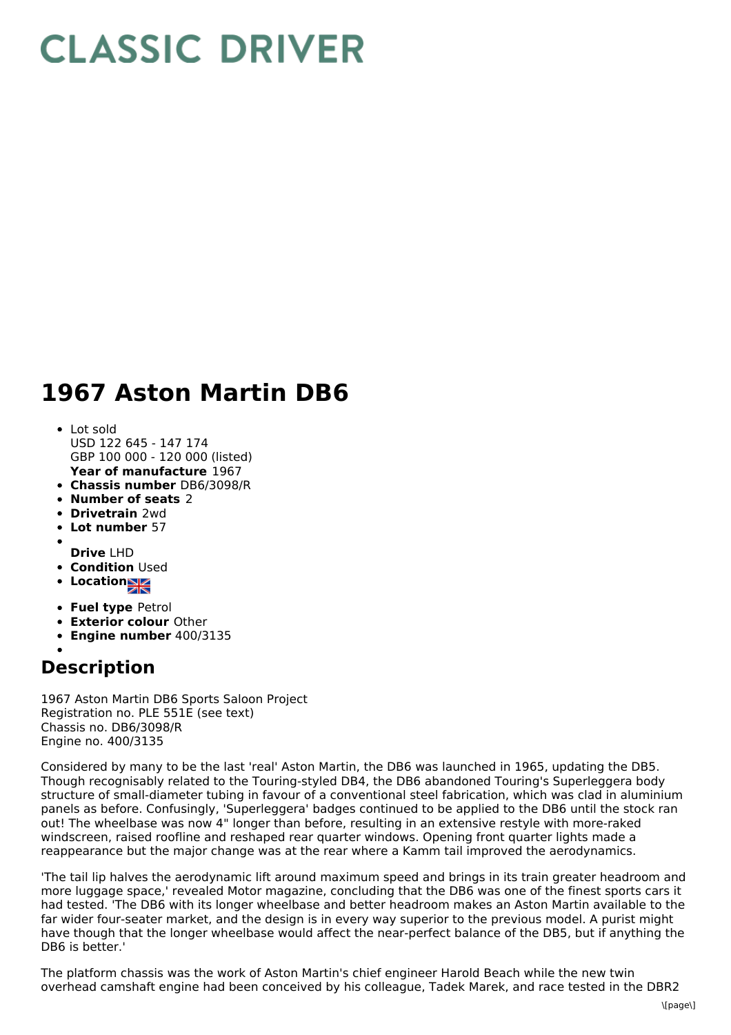## **CLASSIC DRIVER**

## **1967 Aston Martin DB6**

- **Year of manufacture** 1967 Lot sold USD 122 645 - 147 174 GBP 100 000 - 120 000 (listed)
- **Chassis number** DB6/3098/R
- **Number of seats** 2
- **Drivetrain** 2wd
- **Lot number** 57
- 
- **Drive** LHD
- **Condition Used**
- **Location**
- **Fuel type** Petrol
- **Exterior colour** Other
- **Engine number** 400/3135

## **Description**

1967 Aston Martin DB6 Sports Saloon Project Registration no. PLE 551E (see text) Chassis no. DB6/3098/R Engine no. 400/3135

Considered by many to be the last 'real' Aston Martin, the DB6 was launched in 1965, updating the DB5. Though recognisably related to the Touring-styled DB4, the DB6 abandoned Touring's Superleggera body structure of small-diameter tubing in favour of a conventional steel fabrication, which was clad in aluminium panels as before. Confusingly, 'Superleggera' badges continued to be applied to the DB6 until the stock ran out! The wheelbase was now 4" longer than before, resulting in an extensive restyle with more-raked windscreen, raised roofline and reshaped rear quarter windows. Opening front quarter lights made a reappearance but the major change was at the rear where a Kamm tail improved the aerodynamics.

'The tail lip halves the aerodynamic lift around maximum speed and brings in its train greater headroom and more luggage space,' revealed Motor magazine, concluding that the DB6 was one of the finest sports cars it had tested. 'The DB6 with its longer wheelbase and better headroom makes an Aston Martin available to the far wider four-seater market, and the design is in every way superior to the previous model. A purist might have though that the longer wheelbase would affect the near-perfect balance of the DB5, but if anything the DB6 is better.'

The platform chassis was the work of Aston Martin's chief engineer Harold Beach while the new twin overhead camshaft engine had been conceived by his colleague, Tadek Marek, and race tested in the DBR2